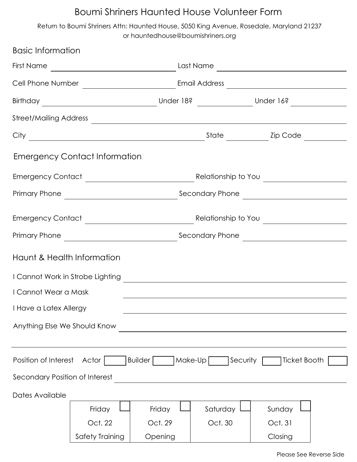## Boumi Shriners Haunted House Volunteer Form

Return to Boumi Shriners Attn: Haunted House, 5050 King Avenue, Rosedale, Maryland 21237 or hauntedhouse@boumishriners.org

| <b>Basic Information</b>       |                                                                                          |         |                     |              |  |
|--------------------------------|------------------------------------------------------------------------------------------|---------|---------------------|--------------|--|
|                                |                                                                                          |         |                     |              |  |
|                                |                                                                                          |         |                     |              |  |
|                                |                                                                                          |         |                     |              |  |
|                                | Street/Mailing Address                                                                   |         |                     |              |  |
|                                |                                                                                          |         |                     |              |  |
|                                | <b>Emergency Contact Information</b>                                                     |         |                     |              |  |
|                                |                                                                                          |         |                     |              |  |
|                                |                                                                                          |         |                     |              |  |
|                                |                                                                                          |         |                     |              |  |
|                                |                                                                                          |         |                     |              |  |
| Haunt & Health Information     |                                                                                          |         |                     |              |  |
|                                | I Cannot Work in Strobe Lighting The Communication of the Cannot Work in Strobe Lighting |         |                     |              |  |
| I Cannot Wear a Mask           |                                                                                          |         |                     |              |  |
| I Have a Latex Allergy         |                                                                                          |         |                     |              |  |
| Anything Else We Should Know   |                                                                                          |         |                     |              |  |
|                                |                                                                                          |         |                     |              |  |
| Position of Interest           | Actor                                                                                    | Builder | Make-Up<br>Security | Ticket Booth |  |
| Secondary Position of Interest |                                                                                          |         |                     |              |  |
| Dates Available                |                                                                                          |         |                     |              |  |
|                                | Friday                                                                                   | Friday  | Saturday            | Sunday       |  |
|                                | Oct. 22                                                                                  | Oct. 29 | Oct. 30             | Oct. 31      |  |
|                                | Safety Training                                                                          | Opening |                     | Closing      |  |

Please See Reverse Side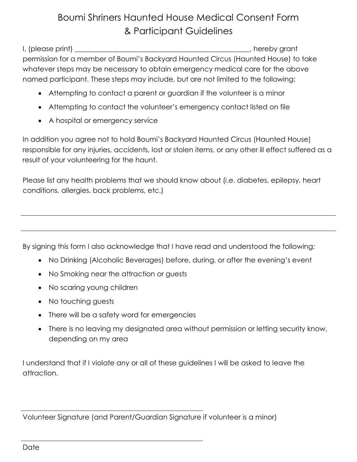## Boumi Shriners Haunted House Medical Consent Form & Participant Guidelines

I, (please print) \_\_\_\_\_\_\_\_\_\_\_\_\_\_\_\_\_\_\_\_\_\_\_\_\_\_\_\_\_\_\_\_\_\_\_\_\_\_\_\_\_\_\_\_\_\_\_\_\_\_, hereby grant permission for a member of Boumi's Backyard Haunted Circus (Haunted House) to take whatever steps may be necessary to obtain emergency medical care for the above named participant. These steps may include, but are not limited to the following:

- Attempting to contact a parent or guardian if the volunteer is a minor
- Attempting to contact the volunteer's emergency contact listed on file
- A hospital or emergency service

In addition you agree not to hold Boumi's Backyard Haunted Circus (Haunted House) responsible for any injuries, accidents, lost or stolen items, or any other ill effect suffered as a result of your volunteering for the haunt.

Please list any health problems that we should know about (i.e. diabetes, epilepsy, heart conditions, allergies, back problems, etc.)

By signing this form I also acknowledge that I have read and understood the following:

- No Drinking (Alcoholic Beverages) before, during, or after the evening's event
- No Smoking near the attraction or guests
- No scaring young children
- No touching guests
- There will be a safety word for emergencies
- There is no leaving my designated area without permission or letting security know, depending on my area

I understand that if I violate any or all of these guidelines I will be asked to leave the attraction.

Volunteer Signature (and Parent/Guardian Signature if volunteer is a minor)